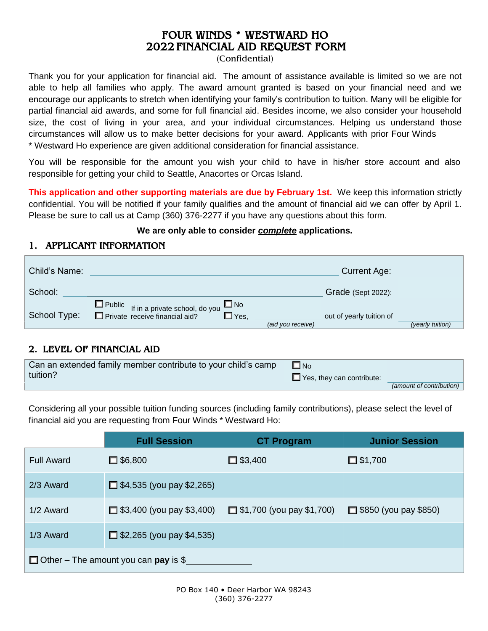# FOUR WINDS \* WESTWARD HO 2022 FINANCIAL AID REQUEST FORM

(Confidential)

Thank you for your application for financial aid. The amount of assistance available is limited so we are not able to help all families who apply. The award amount granted is based on your financial need and we encourage our applicants to stretch when identifying your family's contribution to tuition. Many will be eligible for partial financial aid awards, and some for full financial aid. Besides income, we also consider your household size, the cost of living in your area, and your individual circumstances. Helping us understand those circumstances will allow us to make better decisions for your award. Applicants with prior Four Winds \* Westward Ho experience are given additional consideration for financial assistance.

You will be responsible for the amount you wish your child to have in his/her store account and also responsible for getting your child to Seattle, Anacortes or Orcas Island.

**This application and other supporting materials are due by February 1st.** We keep this information strictly confidential. You will be notified if your family qualifies and the amount of financial aid we can offer by April 1. Please be sure to call us at Camp (360) 376-2277 if you have any questions about this form.

#### **We are only able to consider** *complete* **applications.**

### 1. APPLICANT INFORMATION

| Child's Name: | <b>Current Age:</b>                                                                                   |                  |
|---------------|-------------------------------------------------------------------------------------------------------|------------------|
| School:       | Grade (Sept 2022):                                                                                    |                  |
| School Type:  | □ Public If in a private school, do you<br>$\square$ No<br>$\square$ Yes,<br>out of yearly tuition of |                  |
|               | (aid you receive)                                                                                     | (yearly tuition) |

#### 2. LEVEL OF FINANCIAL AID

| Can an extended family member contribute to your child's camp | $\Box$ No                        |                          |
|---------------------------------------------------------------|----------------------------------|--------------------------|
| tuition?                                                      | $\Box$ Yes, they can contribute: |                          |
|                                                               |                                  | (amount of contribution) |

Considering all your possible tuition funding sources (including family contributions), please select the level of financial aid you are requesting from Four Winds \* Westward Ho:

|                                             | <b>Full Session</b>              | <b>CT Program</b>                | <b>Junior Session</b>        |
|---------------------------------------------|----------------------------------|----------------------------------|------------------------------|
| Full Award                                  | $\Box$ \$6,800                   | $\Box$ \$3,400                   | $\Box$ \$1,700               |
| 2/3 Award                                   | $\Box$ \$4,535 (you pay \$2,265) |                                  |                              |
| 1/2 Award                                   | $\Box$ \$3,400 (you pay \$3,400) | $\Box$ \$1,700 (you pay \$1,700) | $\Box$ \$850 (you pay \$850) |
| 1/3 Award                                   | $\Box$ \$2,265 (you pay \$4,535) |                                  |                              |
| $\Box$ Other – The amount you can pay is \$ |                                  |                                  |                              |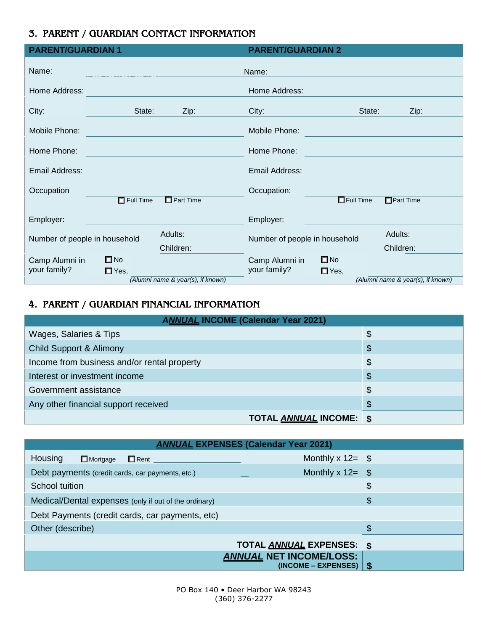### 3. PARENT / GUARDIAN CONTACT INFORMATION

| <b>PARENT/GUARDIAN 1</b>      |                             |                                   | <b>PARENT/GUARDIAN 2</b>      |               |                                   |
|-------------------------------|-----------------------------|-----------------------------------|-------------------------------|---------------|-----------------------------------|
| Name:                         |                             |                                   | Name:                         |               |                                   |
| Home Address:                 |                             |                                   | Home Address:                 |               |                                   |
| City:                         | State:                      | Zip:                              | City:                         | State:        | $Zip$ :                           |
| Mobile Phone:                 |                             |                                   | Mobile Phone:                 |               |                                   |
| Home Phone:                   |                             |                                   | Home Phone:                   |               |                                   |
| Email Address:                |                             |                                   | Email Address:                |               |                                   |
| Occupation                    |                             |                                   | Occupation:                   |               |                                   |
|                               | $\overline{\Box}$ Full Time | $\Box$ Part Time                  |                               | $E$ Full Time | Part Time                         |
| Employer:                     |                             |                                   | Employer:                     |               |                                   |
| Number of people in household |                             | Adults:                           | Number of people in household |               | Adults:                           |
|                               |                             | Children:                         |                               |               | Children:                         |
| Camp Alumni in                | $\square$ No                |                                   | Camp Alumni in                | $\square$ No  |                                   |
| your family?                  | $\Box$ Yes,                 |                                   | your family?                  | $\Box$ Yes,   |                                   |
|                               |                             | (Alumni name & year(s), if known) |                               |               | (Alumni name & year(s), if known) |

# 4. PARENT / GUARDIAN FINANCIAL INFORMATION

| <b>ANNUAL INCOME (Calendar Year 2021)</b>   |                                |  |  |
|---------------------------------------------|--------------------------------|--|--|
| Wages, Salaries & Tips                      | \$                             |  |  |
| <b>Child Support &amp; Alimony</b>          | \$                             |  |  |
| Income from business and/or rental property | \$                             |  |  |
| Interest or investment income               | $\boldsymbol{\mathsf{\$}}$     |  |  |
| Government assistance                       | $\boldsymbol{\mathsf{S}}$      |  |  |
| Any other financial support received        | $\boldsymbol{\mathsf{\$}}$     |  |  |
|                                             | <b>TOTAL ANNUAL INCOME: \$</b> |  |  |

| <b>ANNUAL EXPENSES (Calendar Year 2021)</b>           |                                                            |    |  |
|-------------------------------------------------------|------------------------------------------------------------|----|--|
| Housing<br>$\Box$ Mortgage<br>$\Box$ Rent             | Monthly $x 12 =$ \$                                        |    |  |
| Debt payments (credit cards, car payments, etc.)      | Monthly $x 12 =$ \$                                        |    |  |
| School tuition                                        |                                                            | \$ |  |
| Medical/Dental expenses (only if out of the ordinary) | \$                                                         |    |  |
| Debt Payments (credit cards, car payments, etc)       |                                                            |    |  |
| Other (describe)                                      |                                                            | \$ |  |
|                                                       | TOTAL ANNUAL EXPENSES: \$                                  |    |  |
|                                                       | <b>ANNUAL NET INCOME/LOSS:</b><br>$(INCOME - EXPENSES)$ \$ |    |  |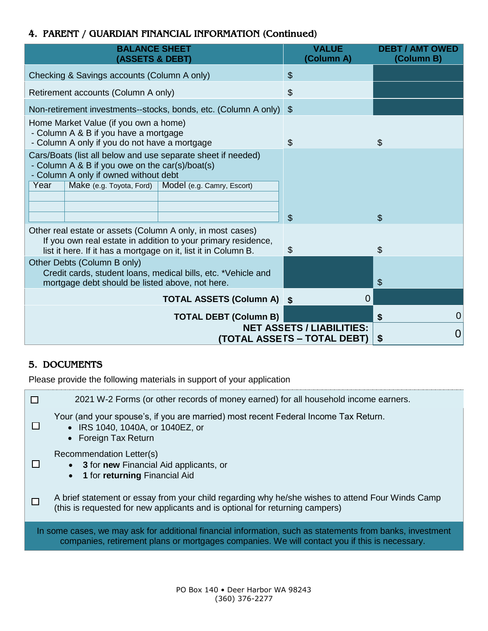### 4. PARENT / GUARDIAN FINANCIAL INFORMATION (Continued)

| <b>BALANCE SHEET</b><br>(ASSETS & DEBT)                                                                                                                  |                                                               | <b>VALUE</b><br>(Column A)                                      | <b>DEBT / AMT OWED</b><br>(Column B) |
|----------------------------------------------------------------------------------------------------------------------------------------------------------|---------------------------------------------------------------|-----------------------------------------------------------------|--------------------------------------|
| Checking & Savings accounts (Column A only)                                                                                                              |                                                               | $\$\$                                                           |                                      |
| Retirement accounts (Column A only)                                                                                                                      |                                                               | \$                                                              |                                      |
| Non-retirement investments--stocks, bonds, etc. (Column A only)                                                                                          |                                                               | $\mathcal{L}$                                                   |                                      |
| Home Market Value (if you own a home)<br>- Column A & B if you have a mortgage<br>- Column A only if you do not have a mortgage                          |                                                               | \$                                                              | \$                                   |
| Cars/Boats (list all below and use separate sheet if needed)<br>- Column A & B if you owe on the car(s)/boat(s)<br>- Column A only if owned without debt |                                                               |                                                                 |                                      |
| Year<br>Make (e.g. Toyota, Ford)                                                                                                                         | Model (e.g. Camry, Escort)                                    |                                                                 |                                      |
|                                                                                                                                                          |                                                               |                                                                 |                                      |
|                                                                                                                                                          |                                                               | $\mathcal{S}$                                                   | $\mathfrak{S}$                       |
| Other real estate or assets (Column A only, in most cases)<br>list it here. If it has a mortgage on it, list it in Column B.                             | If you own real estate in addition to your primary residence, | S                                                               | \$                                   |
| Other Debts (Column B only)<br>Credit cards, student loans, medical bills, etc. *Vehicle and<br>mortgage debt should be listed above, not here.          |                                                               |                                                                 | \$                                   |
|                                                                                                                                                          | <b>TOTAL ASSETS (Column A) \$</b>                             | 0                                                               |                                      |
|                                                                                                                                                          | <b>TOTAL DEBT (Column B)</b>                                  |                                                                 | $\overline{0}$<br>\$                 |
|                                                                                                                                                          |                                                               | <b>NET ASSETS / LIABILITIES:</b><br>(TOTAL ASSETS – TOTAL DEBT) | 0<br>\$                              |

# 5. DOCUMENTS

Please provide the following materials in support of your application

☐ ☐ ☐ ☐ 2021 W-2 Forms (or other records of money earned) for all household income earners. Your (and your spouse's, if you are married) most recent Federal Income Tax Return. • IRS 1040, 1040A, or 1040EZ, or • Foreign Tax Return Recommendation Letter(s) **3** for **new** Financial Aid applicants, or **1** for **returning** Financial Aid A brief statement or essay from your child regarding why he/she wishes to attend Four Winds Camp (this is requested for new applicants and is optional for returning campers) In some cases, we may ask for additional financial information, such as statements from banks, investment companies, retirement plans or mortgages companies. We will contact you if this is necessary.